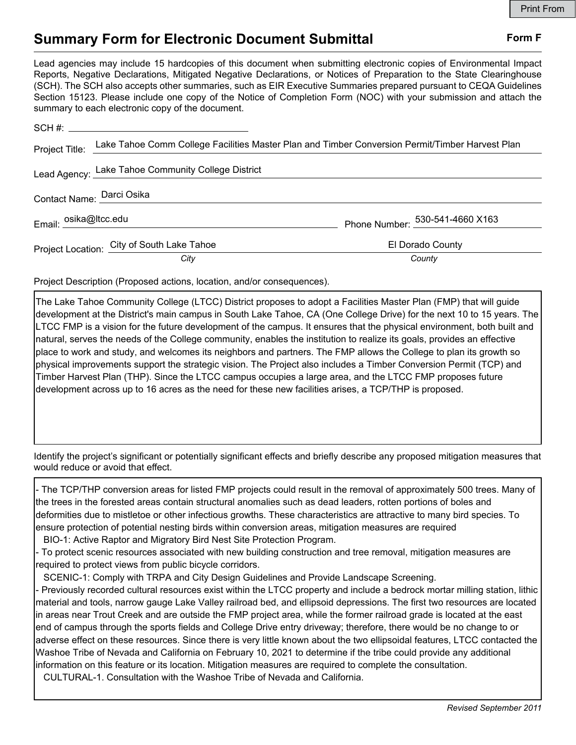## **Summary Form for Electronic Document Submittal Form F Form F**

Lead agencies may include 15 hardcopies of this document when submitting electronic copies of Environmental Impact Reports, Negative Declarations, Mitigated Negative Declarations, or Notices of Preparation to the State Clearinghouse (SCH). The SCH also accepts other summaries, such as EIR Executive Summaries prepared pursuant to CEQA Guidelines Section 15123. Please include one copy of the Notice of Completion Form (NOC) with your submission and attach the summary to each electronic copy of the document.

|                           | Project Title: Lake Tahoe Comm College Facilities Master Plan and Timber Conversion Permit/Timber Harvest Plan |                                             |
|---------------------------|----------------------------------------------------------------------------------------------------------------|---------------------------------------------|
|                           | Lead Agency: Lake Tahoe Community College District                                                             |                                             |
| Contact Name: Darci Osika |                                                                                                                |                                             |
| Email: osika@Itcc.edu     |                                                                                                                | Phone Number: $\frac{530-541-4660}{2}$ X163 |
|                           | Project Location: City of South Lake Tahoe                                                                     | El Dorado County                            |
|                           | City                                                                                                           | County                                      |

Project Description (Proposed actions, location, and/or consequences).

The Lake Tahoe Community College (LTCC) District proposes to adopt a Facilities Master Plan (FMP) that will guide development at the District's main campus in South Lake Tahoe, CA (One College Drive) for the next 10 to 15 years. The LTCC FMP is a vision for the future development of the campus. It ensures that the physical environment, both built and natural, serves the needs of the College community, enables the institution to realize its goals, provides an effective place to work and study, and welcomes its neighbors and partners. The FMP allows the College to plan its growth so physical improvements support the strategic vision. The Project also includes a Timber Conversion Permit (TCP) and Timber Harvest Plan (THP). Since the LTCC campus occupies a large area, and the LTCC FMP proposes future development across up to 16 acres as the need for these new facilities arises, a TCP/THP is proposed.

Identify the project's signifcant or potentially signifcant efects and briefy describe any proposed mitigation measures that would reduce or avoid that effect.

- The TCP/THP conversion areas for listed FMP projects could result in the removal of approximately 500 trees. Many of the trees in the forested areas contain structural anomalies such as dead leaders, rotten portions of boles and deformities due to mistletoe or other infectious growths. These characteristics are attractive to many bird species. To ensure protection of potential nesting birds within conversion areas, mitigation measures are required

BIO-1: Active Raptor and Migratory Bird Nest Site Protection Program.

- To protect scenic resources associated with new building construction and tree removal, mitigation measures are required to protect views from public bicycle corridors.

SCENIC-1: Comply with TRPA and City Design Guidelines and Provide Landscape Screening.

- Previously recorded cultural resources exist within the LTCC property and include a bedrock mortar milling station, lithic material and tools, narrow gauge Lake Valley railroad bed, and ellipsoid depressions. The first two resources are located in areas near Trout Creek and are outside the FMP project area, while the former railroad grade is located at the east end of campus through the sports fields and College Drive entry driveway; therefore, there would be no change to or adverse effect on these resources. Since there is very little known about the two ellipsoidal features, LTCC contacted the Washoe Tribe of Nevada and California on February 10, 2021 to determine if the tribe could provide any additional information on this feature or its location. Mitigation measures are required to complete the consultation.

CULTURAL-1. Consultation with the Washoe Tribe of Nevada and California.